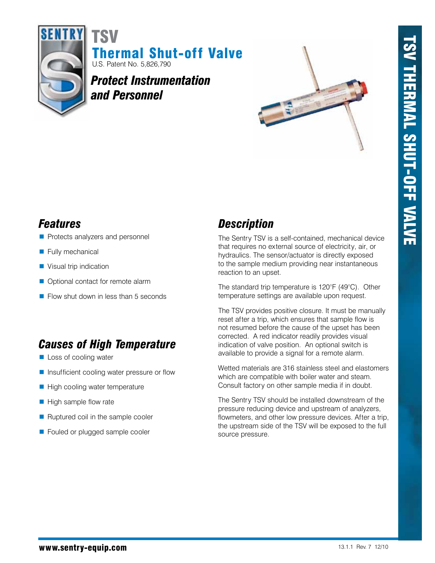

Thermal Shut-off Valve U.S. Patent No. 5,826,790 TSV

*Protect Instrumentation and Personnel*



- Protects analyzers and personnel
- **Fully mechanical**
- Visual trip indication
- **Optional contact for remote alarm**
- Flow shut down in less than 5 seconds

# *Causes of High Temperature*

- **Loss of cooling water**
- **Insufficient cooling water pressure or flow**
- $\blacksquare$  High cooling water temperature
- $\blacksquare$  High sample flow rate
- Ruptured coil in the sample cooler
- Fouled or plugged sample cooler

## *Features Description*

The Sentry TSV is a self-contained, mechanical device that requires no external source of electricity, air, or hydraulics. The sensor/actuator is directly exposed to the sample medium providing near instantaneous reaction to an upset.

The standard trip temperature is 120°F (49°C). Other temperature settings are available upon request.

The TSV provides positive closure. It must be manually reset after a trip, which ensures that sample flow is not resumed before the cause of the upset has been corrected. A red indicator readily provides visual indication of valve position. An optional switch is available to provide a signal for a remote alarm.

Wetted materials are 316 stainless steel and elastomers which are compatible with boiler water and steam. Consult factory on other sample media if in doubt.

The Sentry TSV should be installed downstream of the pressure reducing device and upstream of analyzers, flowmeters, and other low pressure devices. After a trip, the upstream side of the TSV will be exposed to the full source pressure.